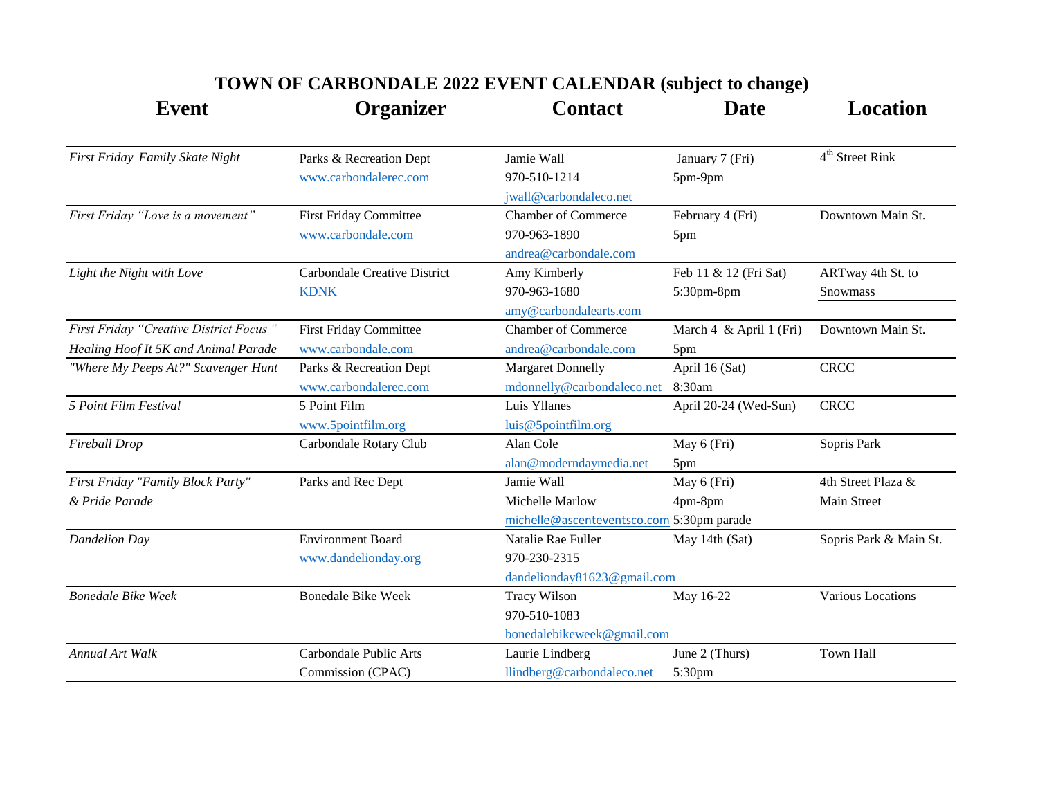| <b>Event</b>                           | Organizer                           | <b>Contact</b>                            | <b>Date</b>             | <b>Location</b>        |
|----------------------------------------|-------------------------------------|-------------------------------------------|-------------------------|------------------------|
| First Friday Family Skate Night        | Parks & Recreation Dept             | Jamie Wall                                | January 7 (Fri)         | $4th$ Street Rink      |
|                                        | www.carbondalerec.com               | 970-510-1214                              | 5pm-9pm                 |                        |
|                                        |                                     | jwall@carbondaleco.net                    |                         |                        |
| First Friday "Love is a movement"      | <b>First Friday Committee</b>       | <b>Chamber of Commerce</b>                | February 4 (Fri)        | Downtown Main St.      |
|                                        | www.carbondale.com                  | 970-963-1890                              | 5pm                     |                        |
|                                        |                                     | andrea@carbondale.com                     |                         |                        |
| Light the Night with Love              | <b>Carbondale Creative District</b> | Amy Kimberly                              | Feb 11 & 12 (Fri Sat)   | ARTway 4th St. to      |
|                                        | <b>KDNK</b>                         | 970-963-1680                              | 5:30pm-8pm              | <b>Snowmass</b>        |
|                                        |                                     | amy@carbondalearts.com                    |                         |                        |
| First Friday "Creative District Focus" | <b>First Friday Committee</b>       | <b>Chamber of Commerce</b>                | March 4 & April 1 (Fri) | Downtown Main St.      |
| Healing Hoof It 5K and Animal Parade   | www.carbondale.com                  | andrea@carbondale.com                     | 5pm                     |                        |
| "Where My Peeps At?" Scavenger Hunt    | Parks & Recreation Dept             | <b>Margaret Donnelly</b>                  | April 16 (Sat)          | <b>CRCC</b>            |
|                                        | www.carbondalerec.com               | mdonnelly@carbondaleco.net                | 8:30am                  |                        |
| 5 Point Film Festival                  | 5 Point Film                        | Luis Yllanes                              | April 20-24 (Wed-Sun)   | <b>CRCC</b>            |
|                                        | www.5pointfilm.org                  | luis@5pointfilm.org                       |                         |                        |
| Fireball Drop                          | Carbondale Rotary Club              | Alan Cole                                 | May 6 (Fri)             | Sopris Park            |
|                                        |                                     | alan@moderndaymedia.net                   | 5pm                     |                        |
| First Friday "Family Block Party"      | Parks and Rec Dept                  | Jamie Wall                                | May 6 (Fri)             | 4th Street Plaza &     |
| & Pride Parade                         |                                     | Michelle Marlow                           | 4pm-8pm                 | Main Street            |
|                                        |                                     | michelle@ascenteventsco.com 5:30pm parade |                         |                        |
| <b>Dandelion Day</b>                   | <b>Environment Board</b>            | Natalie Rae Fuller                        | May 14th (Sat)          | Sopris Park & Main St. |
|                                        | www.dandelionday.org                | 970-230-2315                              |                         |                        |
|                                        |                                     | dandelionday81623@gmail.com               |                         |                        |
| <b>Bonedale Bike Week</b>              | <b>Bonedale Bike Week</b>           | <b>Tracy Wilson</b>                       | May 16-22               | Various Locations      |
|                                        |                                     | 970-510-1083                              |                         |                        |
|                                        |                                     | bonedalebikeweek@gmail.com                |                         |                        |
| <b>Annual Art Walk</b>                 | Carbondale Public Arts              | Laurie Lindberg                           | June 2 (Thurs)          | Town Hall              |
|                                        | Commission (CPAC)                   | llindberg@carbondaleco.net                | 5:30pm                  |                        |

## **TOWN OF CARBONDALE 2022 EVENT CALENDAR (subject to change)**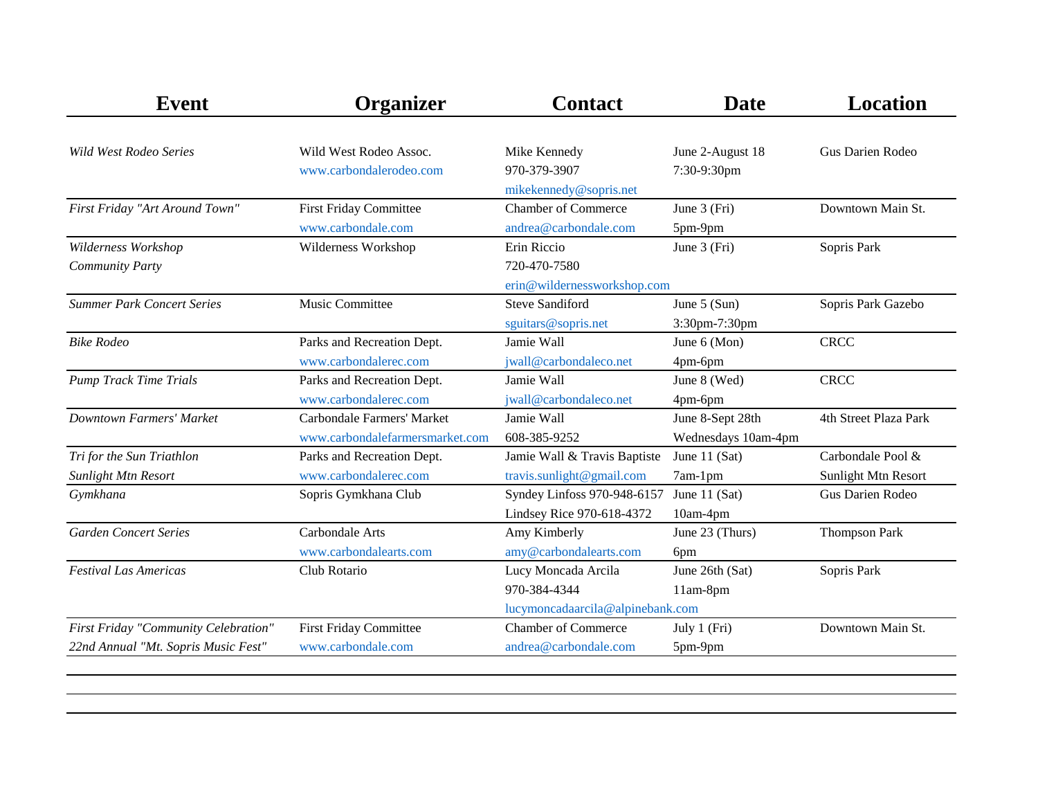| <b>Event</b>                         | <b>Organizer</b>                  | <b>Contact</b>                   | <b>Date</b>         | <b>Location</b>       |
|--------------------------------------|-----------------------------------|----------------------------------|---------------------|-----------------------|
|                                      |                                   |                                  |                     |                       |
| <b>Wild West Rodeo Series</b>        | Wild West Rodeo Assoc.            | Mike Kennedy                     | June 2-August 18    | Gus Darien Rodeo      |
|                                      | www.carbondalerodeo.com           | 970-379-3907                     | 7:30-9:30pm         |                       |
|                                      |                                   | mikekennedy@sopris.net           |                     |                       |
| First Friday "Art Around Town"       | <b>First Friday Committee</b>     | <b>Chamber of Commerce</b>       | June 3 (Fri)        | Downtown Main St.     |
|                                      | www.carbondale.com                | andrea@carbondale.com            | 5pm-9pm             |                       |
| Wilderness Workshop                  | Wilderness Workshop               | Erin Riccio                      | June 3 (Fri)        | Sopris Park           |
| <b>Community Party</b>               |                                   | 720-470-7580                     |                     |                       |
|                                      |                                   | erin@wildernessworkshop.com      |                     |                       |
| <b>Summer Park Concert Series</b>    | Music Committee                   | <b>Steve Sandiford</b>           | June 5 (Sun)        | Sopris Park Gazebo    |
|                                      |                                   | sguitars@sopris.net              | 3:30pm-7:30pm       |                       |
| <b>Bike Rodeo</b>                    | Parks and Recreation Dept.        | Jamie Wall                       | June 6 (Mon)        | <b>CRCC</b>           |
|                                      | www.carbondalerec.com             | jwall@carbondaleco.net           | 4pm-6pm             |                       |
| <b>Pump Track Time Trials</b>        | Parks and Recreation Dept.        | Jamie Wall                       | June 8 (Wed)        | <b>CRCC</b>           |
|                                      | www.carbondalerec.com             | jwall@carbondaleco.net           | 4pm-6pm             |                       |
| <b>Downtown Farmers' Market</b>      | <b>Carbondale Farmers' Market</b> | Jamie Wall                       | June 8-Sept 28th    | 4th Street Plaza Park |
|                                      | www.carbondalefarmersmarket.com   | 608-385-9252                     | Wednesdays 10am-4pm |                       |
| Tri for the Sun Triathlon            | Parks and Recreation Dept.        | Jamie Wall & Travis Baptiste     | June 11 $(Sat)$     | Carbondale Pool &     |
| <b>Sunlight Mtn Resort</b>           | www.carbondalerec.com             | travis.sunlight@gmail.com        | $7am-1pm$           | Sunlight Mtn Resort   |
| Gymkhana                             | Sopris Gymkhana Club              | Syndey Linfoss 970-948-6157      | June 11 $(Sat)$     | Gus Darien Rodeo      |
|                                      |                                   | Lindsey Rice 970-618-4372        | 10am-4pm            |                       |
| <b>Garden Concert Series</b>         | Carbondale Arts                   | Amy Kimberly                     | June 23 (Thurs)     | <b>Thompson Park</b>  |
|                                      | www.carbondalearts.com            | amy@carbondalearts.com           | 6pm                 |                       |
| <b>Festival Las Americas</b>         | Club Rotario                      | Lucy Moncada Arcila              | June 26th (Sat)     | Sopris Park           |
|                                      |                                   | 970-384-4344                     | 11am-8pm            |                       |
|                                      |                                   | lucymoncadaarcila@alpinebank.com |                     |                       |
| First Friday "Community Celebration" | <b>First Friday Committee</b>     | <b>Chamber of Commerce</b>       | July 1 (Fri)        | Downtown Main St.     |
| 22nd Annual "Mt. Sopris Music Fest"  | www.carbondale.com                | andrea@carbondale.com            | 5pm-9pm             |                       |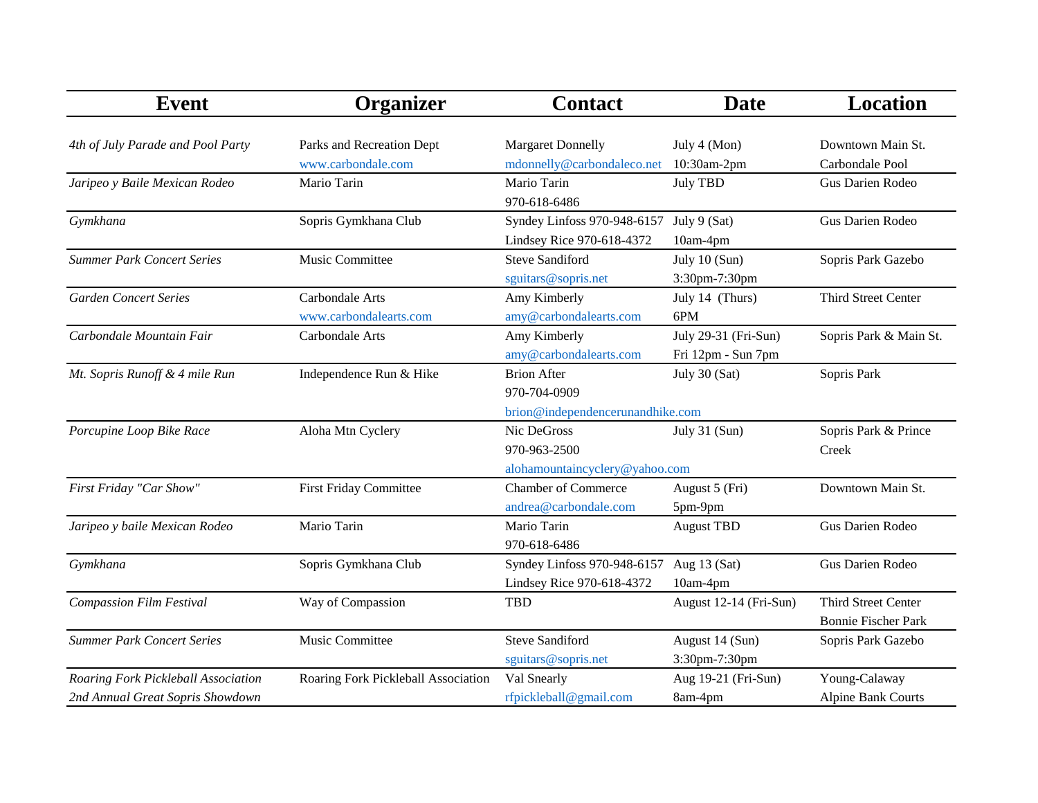| <b>Event</b>                        | Organizer                           | <b>Contact</b>                   | <b>Date</b>            | <b>Location</b>            |
|-------------------------------------|-------------------------------------|----------------------------------|------------------------|----------------------------|
|                                     |                                     |                                  |                        |                            |
| 4th of July Parade and Pool Party   | Parks and Recreation Dept           | <b>Margaret Donnelly</b>         | July 4 (Mon)           | Downtown Main St.          |
|                                     | www.carbondale.com                  | mdonnelly@carbondaleco.net       | 10:30am-2pm            | Carbondale Pool            |
| Jaripeo y Baile Mexican Rodeo       | Mario Tarin                         | Mario Tarin                      | July TBD               | Gus Darien Rodeo           |
|                                     |                                     | 970-618-6486                     |                        |                            |
| Gymkhana                            | Sopris Gymkhana Club                | Syndey Linfoss 970-948-6157      | July 9 (Sat)           | Gus Darien Rodeo           |
|                                     |                                     | Lindsey Rice 970-618-4372        | 10am-4pm               |                            |
| <b>Summer Park Concert Series</b>   | Music Committee                     | <b>Steve Sandiford</b>           | July 10 (Sun)          | Sopris Park Gazebo         |
|                                     |                                     | sguitars@sopris.net              | 3:30pm-7:30pm          |                            |
| <b>Garden Concert Series</b>        | Carbondale Arts                     | Amy Kimberly                     | July 14 (Thurs)        | Third Street Center        |
|                                     | www.carbondalearts.com              | amy@carbondalearts.com           | 6PM                    |                            |
| Carbondale Mountain Fair            | Carbondale Arts                     | Amy Kimberly                     | July 29-31 (Fri-Sun)   | Sopris Park & Main St.     |
|                                     |                                     | amy@carbondalearts.com           | Fri 12pm - Sun 7pm     |                            |
| Mt. Sopris Runoff & 4 mile Run      | Independence Run & Hike             | <b>Brion After</b>               | July 30 (Sat)          | Sopris Park                |
|                                     |                                     | 970-704-0909                     |                        |                            |
|                                     |                                     | brion@independencerunandhike.com |                        |                            |
| Porcupine Loop Bike Race            | Aloha Mtn Cyclery                   | Nic DeGross                      | July 31 (Sun)          | Sopris Park & Prince       |
|                                     |                                     | 970-963-2500                     |                        | Creek                      |
|                                     |                                     | alohamountaincyclery@yahoo.com   |                        |                            |
| First Friday "Car Show"             | <b>First Friday Committee</b>       | <b>Chamber of Commerce</b>       | August 5 (Fri)         | Downtown Main St.          |
|                                     |                                     | andrea@carbondale.com            | 5pm-9pm                |                            |
| Jaripeo y baile Mexican Rodeo       | Mario Tarin                         | Mario Tarin                      | <b>August TBD</b>      | Gus Darien Rodeo           |
|                                     |                                     | 970-618-6486                     |                        |                            |
| Gymkhana                            | Sopris Gymkhana Club                | Syndey Linfoss 970-948-6157      | Aug $13$ (Sat)         | Gus Darien Rodeo           |
|                                     |                                     | Lindsey Rice 970-618-4372        | 10am-4pm               |                            |
| <b>Compassion Film Festival</b>     | Way of Compassion                   | <b>TBD</b>                       | August 12-14 (Fri-Sun) | <b>Third Street Center</b> |
|                                     |                                     |                                  |                        | <b>Bonnie Fischer Park</b> |
| <b>Summer Park Concert Series</b>   | Music Committee                     | <b>Steve Sandiford</b>           | August 14 (Sun)        | Sopris Park Gazebo         |
|                                     |                                     | sguitars@sopris.net              | 3:30pm-7:30pm          |                            |
| Roaring Fork Pickleball Association | Roaring Fork Pickleball Association | Val Snearly                      | Aug 19-21 (Fri-Sun)    | Young-Calaway              |
| 2nd Annual Great Sopris Showdown    |                                     | rfpickleball@gmail.com           | 8am-4pm                | <b>Alpine Bank Courts</b>  |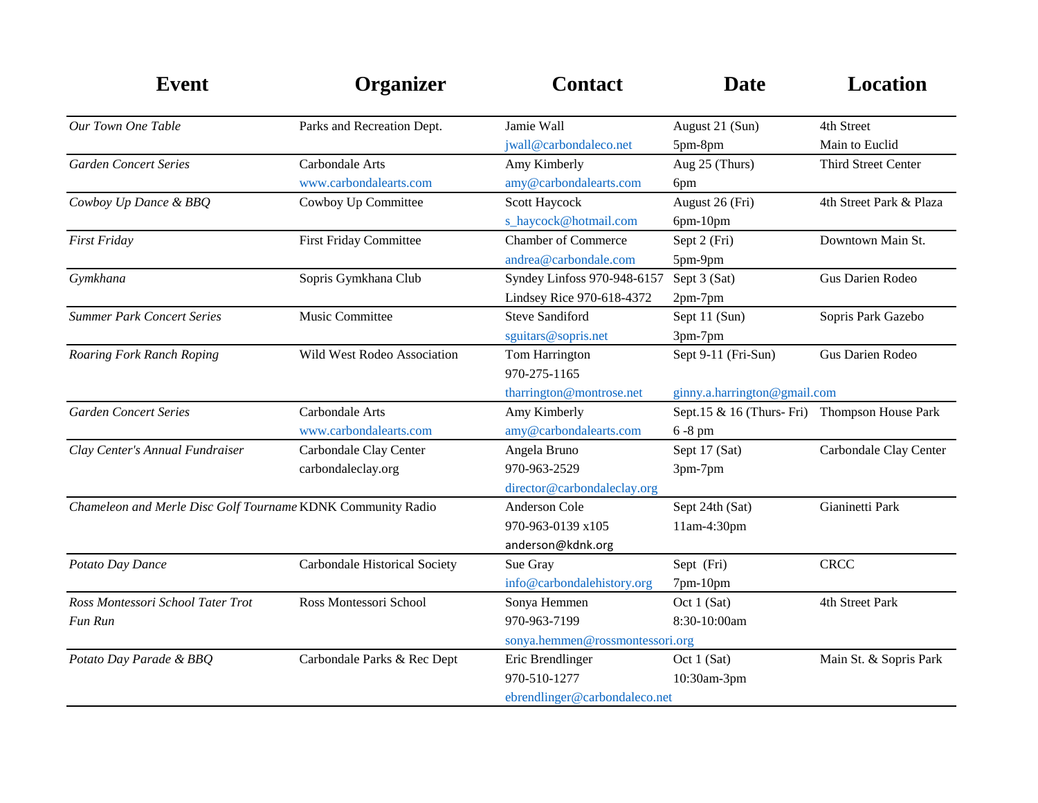| <b>Event</b>                                                | Organizer                     | <b>Contact</b>                  | <b>Date</b>                                  | <b>Location</b>            |
|-------------------------------------------------------------|-------------------------------|---------------------------------|----------------------------------------------|----------------------------|
| Our Town One Table                                          | Parks and Recreation Dept.    | Jamie Wall                      | August 21 (Sun)                              | 4th Street                 |
|                                                             |                               | jwall@carbondaleco.net          | 5pm-8pm                                      | Main to Euclid             |
| <b>Garden Concert Series</b>                                | Carbondale Arts               | Amy Kimberly                    | Aug 25 (Thurs)                               | <b>Third Street Center</b> |
|                                                             | www.carbondalearts.com        | amy@carbondalearts.com          | 6pm                                          |                            |
| Cowboy Up Dance & BBQ                                       | Cowboy Up Committee           | Scott Haycock                   | August 26 (Fri)                              | 4th Street Park & Plaza    |
|                                                             |                               | s_haycock@hotmail.com           | 6pm-10pm                                     |                            |
| First Friday                                                | <b>First Friday Committee</b> | <b>Chamber of Commerce</b>      | Sept 2 (Fri)                                 | Downtown Main St.          |
|                                                             |                               | andrea@carbondale.com           | 5pm-9pm                                      |                            |
| Gymkhana                                                    | Sopris Gymkhana Club          | Syndey Linfoss 970-948-6157     | Sept 3 (Sat)                                 | Gus Darien Rodeo           |
|                                                             |                               | Lindsey Rice 970-618-4372       | 2pm-7pm                                      |                            |
| <b>Summer Park Concert Series</b>                           | Music Committee               | <b>Steve Sandiford</b>          | Sept 11 (Sun)                                | Sopris Park Gazebo         |
|                                                             |                               | sguitars@sopris.net             | 3pm-7pm                                      |                            |
| Roaring Fork Ranch Roping                                   | Wild West Rodeo Association   | Tom Harrington                  | Sept 9-11 (Fri-Sun)                          | Gus Darien Rodeo           |
|                                                             |                               | 970-275-1165                    |                                              |                            |
|                                                             |                               | tharrington@montrose.net        | ginny.a.harrington@gmail.com                 |                            |
| <b>Garden Concert Series</b>                                | Carbondale Arts               | Amy Kimberly                    | Sept.15 & 16 (Thurs-Fri) Thompson House Park |                            |
|                                                             | www.carbondalearts.com        | amy@carbondalearts.com          | $6-8$ pm                                     |                            |
| Clay Center's Annual Fundraiser                             | Carbondale Clay Center        | Angela Bruno                    | Sept 17 (Sat)                                | Carbondale Clay Center     |
|                                                             | carbondaleclay.org            | 970-963-2529                    | 3pm-7pm                                      |                            |
|                                                             |                               | director@carbondaleclay.org     |                                              |                            |
| Chameleon and Merle Disc Golf Tourname KDNK Community Radio |                               | <b>Anderson Cole</b>            | Sept 24th (Sat)                              | Gianinetti Park            |
|                                                             |                               | 970-963-0139 x105               | 11am-4:30pm                                  |                            |
|                                                             |                               | anderson@kdnk.org               |                                              |                            |
| Potato Day Dance                                            | Carbondale Historical Society | Sue Gray                        | Sept (Fri)                                   | <b>CRCC</b>                |
|                                                             |                               | info@carbondalehistory.org      | 7pm-10pm                                     |                            |
| Ross Montessori School Tater Trot                           | Ross Montessori School        | Sonya Hemmen                    | Oct 1 (Sat)                                  | 4th Street Park            |
| Fun Run                                                     |                               | 970-963-7199                    | 8:30-10:00am                                 |                            |
|                                                             |                               | sonya.hemmen@rossmontessori.org |                                              |                            |
| Potato Day Parade & BBQ                                     | Carbondale Parks & Rec Dept   | Eric Brendlinger                | Oct 1 (Sat)                                  | Main St. & Sopris Park     |
|                                                             |                               | 970-510-1277                    | 10:30am-3pm                                  |                            |
|                                                             |                               | ebrendlinger@carbondaleco.net   |                                              |                            |
|                                                             |                               |                                 |                                              |                            |